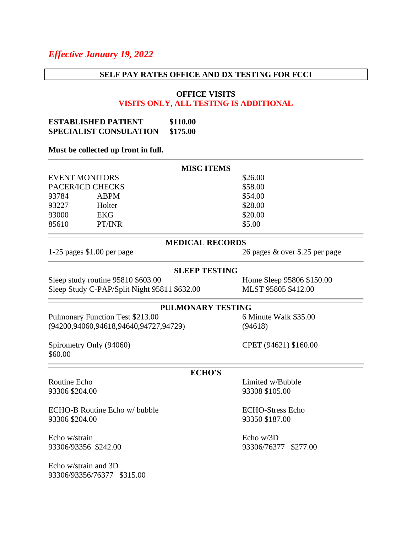# *Effective January 19, 2022*

#### **SELF PAY RATES OFFICE AND DX TESTING FOR FCCI**

### **OFFICE VISITS VISITS ONLY, ALL TESTING IS ADDITIONAL**

### **ESTABLISHED PATIENT \$110.00 SPECIALIST CONSULATION \$175.00**

#### **Must be collected up front in full.**

|                       |             | <b>MISC ITEMS</b> |  |
|-----------------------|-------------|-------------------|--|
| <b>EVENT MONITORS</b> |             | \$26.00           |  |
| PACER/ICD CHECKS      |             | \$58.00           |  |
| 93784                 | <b>ABPM</b> | \$54.00           |  |
| 93227                 | Holter      | \$28.00           |  |
| 93000                 | <b>EKG</b>  | \$20.00           |  |
| 85610                 | PT/INR      | \$5.00            |  |
|                       |             |                   |  |

# **MEDICAL RECORDS**

1-25 pages \$1.00 per page 26 pages & over \$.25 per page

## **SLEEP TESTING**

Sleep study routine 95810 \$603.00 Home Sleep 95806 \$150.00 Sleep Study C-PAP/Split Night 95811 \$632.00 MLST 95805 \$412.00

### **PULMONARY TESTING**

Pulmonary Function Test \$213.00 6 Minute Walk \$35.00 (94200,94060,94618,94640,94727,94729) (94618)

Spirometry Only (94060) CPET (94621) \$160.00 \$60.00

#### **ECHO'S**

ECHO-B Routine Echo w/ bubble ECHO-Stress Echo 93306 \$204.00 93350 \$187.00

Echo w/strain Echo w/3D

Echo w/strain and 3D 93306/93356/76377 \$315.00

Routine Echo **Limited w/Bubble** 93306 \$204.00 93308 \$105.00

93306/93356 \$242.00 93306/76377 \$277.00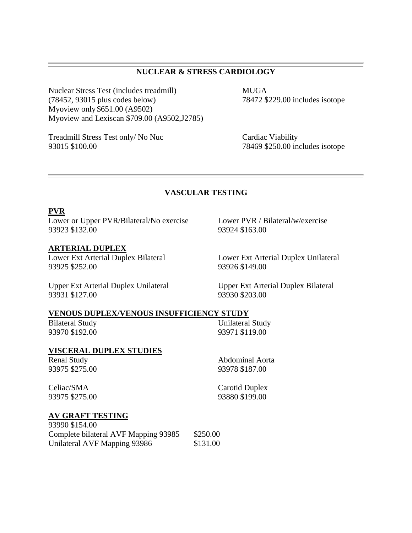# **NUCLEAR & STRESS CARDIOLOGY**

Nuclear Stress Test (includes treadmill) MUGA (78452, 93015 plus codes below) 78472 \$229.00 includes isotope Myoview only \$651.00 (A9502) Myoview and Lexiscan \$709.00 (A9502,J2785)

Treadmill Stress Test only/ No Nuc Cardiac Viability 93015 \$100.00 78469 \$250.00 includes isotope

# **VASCULAR TESTING**

### **PVR**

Lower or Upper PVR/Bilateral/No exercise Lower PVR / Bilateral/w/exercise 93923 \$132.00 93924 \$163.00

### **ARTERIAL DUPLEX**

93925 \$252.00 93926 \$149.00

Lower Ext Arterial Duplex Bilateral Lower Ext Arterial Duplex Unilateral

93931 \$127.00 93930 \$203.00

Upper Ext Arterial Duplex Unilateral Upper Ext Arterial Duplex Bilateral

#### **VENOUS DUPLEX/VENOUS INSUFFICIENCY STUDY**

Bilateral Study Unilateral Study 93970 \$192.00 93971 \$119.00

#### **VISCERAL DUPLEX STUDIES**

Renal Study Abdominal Aorta

93975 \$275.00 93978 \$187.00

Celiac/SMA Carotid Duplex

93975 \$275.00 93880 \$199.00

### **AV GRAFT TESTING**

| 93990 \$154.00                       |          |
|--------------------------------------|----------|
| Complete bilateral AVF Mapping 93985 | \$250.00 |
| Unilateral AVF Mapping 93986         | \$131.00 |